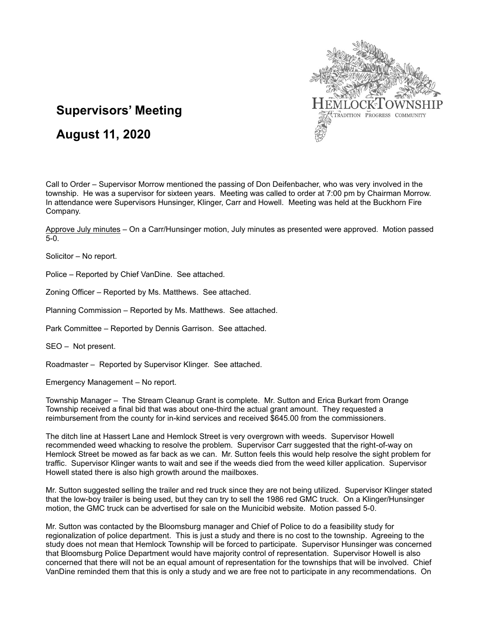

# **Supervisors' Meeting**

## **August 11, 2020**

Call to Order – Supervisor Morrow mentioned the passing of Don Deifenbacher, who was very involved in the township. He was a supervisor for sixteen years. Meeting was called to order at 7:00 pm by Chairman Morrow. In attendance were Supervisors Hunsinger, Klinger, Carr and Howell. Meeting was held at the Buckhorn Fire Company.

Approve July minutes – On a Carr/Hunsinger motion, July minutes as presented were approved. Motion passed 5-0.

Solicitor – No report.

Police – Reported by Chief VanDine. See attached.

Zoning Officer – Reported by Ms. Matthews. See attached.

Planning Commission – Reported by Ms. Matthews. See attached.

Park Committee – Reported by Dennis Garrison. See attached.

SEO – Not present.

Roadmaster – Reported by Supervisor Klinger. See attached.

Emergency Management – No report.

Township Manager – The Stream Cleanup Grant is complete. Mr. Sutton and Erica Burkart from Orange Township received a final bid that was about one-third the actual grant amount. They requested a reimbursement from the county for in-kind services and received \$645.00 from the commissioners.

The ditch line at Hassert Lane and Hemlock Street is very overgrown with weeds. Supervisor Howell recommended weed whacking to resolve the problem. Supervisor Carr suggested that the right-of-way on Hemlock Street be mowed as far back as we can. Mr. Sutton feels this would help resolve the sight problem for traffic. Supervisor Klinger wants to wait and see if the weeds died from the weed killer application. Supervisor Howell stated there is also high growth around the mailboxes.

Mr. Sutton suggested selling the trailer and red truck since they are not being utilized. Supervisor Klinger stated that the low-boy trailer is being used, but they can try to sell the 1986 red GMC truck. On a Klinger/Hunsinger motion, the GMC truck can be advertised for sale on the Municibid website. Motion passed 5-0.

Mr. Sutton was contacted by the Bloomsburg manager and Chief of Police to do a feasibility study for regionalization of police department. This is just a study and there is no cost to the township. Agreeing to the study does not mean that Hemlock Township will be forced to participate. Supervisor Hunsinger was concerned that Bloomsburg Police Department would have majority control of representation. Supervisor Howell is also concerned that there will not be an equal amount of representation for the townships that will be involved. Chief VanDine reminded them that this is only a study and we are free not to participate in any recommendations. On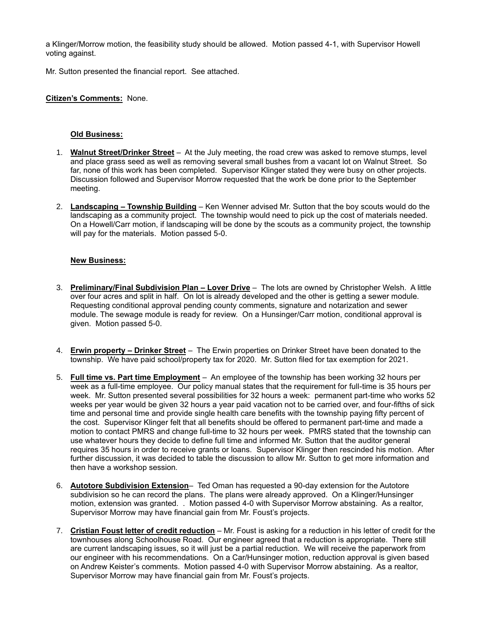a Klinger/Morrow motion, the feasibility study should be allowed. Motion passed 4-1, with Supervisor Howell voting against.

Mr. Sutton presented the financial report. See attached.

#### **Citizen's Comments:** None.

#### **Old Business:**

- 1. **Walnut Street/Drinker Street** At the July meeting, the road crew was asked to remove stumps, level and place grass seed as well as removing several small bushes from a vacant lot on Walnut Street. So far, none of this work has been completed. Supervisor Klinger stated they were busy on other projects. Discussion followed and Supervisor Morrow requested that the work be done prior to the September meeting.
- 2. **Landscaping – Township Building** Ken Wenner advised Mr. Sutton that the boy scouts would do the landscaping as a community project. The township would need to pick up the cost of materials needed. On a Howell/Carr motion, if landscaping will be done by the scouts as a community project, the township will pay for the materials. Motion passed 5-0.

### **New Business:**

- 3. **Preliminary/Final Subdivision Plan – Lover Drive** The lots are owned by Christopher Welsh. A little over four acres and split in half. On lot is already developed and the other is getting a sewer module. Requesting conditional approval pending county comments, signature and notarization and sewer module. The sewage module is ready for review. On a Hunsinger/Carr motion, conditional approval is given. Motion passed 5-0.
- 4. **Erwin property – Drinker Street** The Erwin properties on Drinker Street have been donated to the township. We have paid school/property tax for 2020. Mr. Sutton filed for tax exemption for 2021.
- 5. **Full time vs. Part time Employment** An employee of the township has been working 32 hours per week as a full-time employee. Our policy manual states that the requirement for full-time is 35 hours per week. Mr. Sutton presented several possibilities for 32 hours a week: permanent part-time who works 52 weeks per year would be given 32 hours a year paid vacation not to be carried over, and four-fifths of sick time and personal time and provide single health care benefits with the township paying fifty percent of the cost. Supervisor Klinger felt that all benefits should be offered to permanent part-time and made a motion to contact PMRS and change full-time to 32 hours per week. PMRS stated that the township can use whatever hours they decide to define full time and informed Mr. Sutton that the auditor general requires 35 hours in order to receive grants or loans. Supervisor Klinger then rescinded his motion. After further discussion, it was decided to table the discussion to allow Mr. Sutton to get more information and then have a workshop session.
- 6. **Autotore Subdivision Extension** Ted Oman has requested a 90-day extension for the Autotore subdivision so he can record the plans. The plans were already approved. On a Klinger/Hunsinger motion, extension was granted. . Motion passed 4-0 with Supervisor Morrow abstaining. As a realtor, Supervisor Morrow may have financial gain from Mr. Foust's projects.
- 7. **Cristian Foust letter of credit reduction** Mr. Foust is asking for a reduction in his letter of credit for the townhouses along Schoolhouse Road. Our engineer agreed that a reduction is appropriate. There still are current landscaping issues, so it will just be a partial reduction. We will receive the paperwork from our engineer with his recommendations. On a Car/Hunsinger motion, reduction approval is given based on Andrew Keister's comments. Motion passed 4-0 with Supervisor Morrow abstaining. As a realtor, Supervisor Morrow may have financial gain from Mr. Foust's projects.